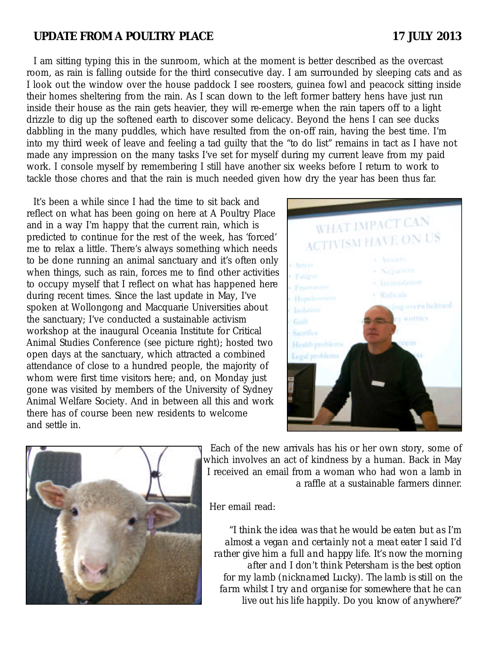## **UPDATE FROM A POULTRY PLACE 17 JULY 2013**

I am sitting typing this in the sunroom, which at the moment is better described as the overcast room, as rain is falling outside for the third consecutive day. I am surrounded by sleeping cats and as I look out the window over the house paddock I see roosters, guinea fowl and peacock sitting inside their homes sheltering from the rain. As I scan down to the left former battery hens have just run inside their house as the rain gets heavier, they will re-emerge when the rain tapers off to a light drizzle to dig up the softened earth to discover some delicacy. Beyond the hens I can see ducks dabbling in the many puddles, which have resulted from the on-off rain, having the best time. I'm into my third week of leave and feeling a tad guilty that the "to do list" remains in tact as I have not made any impression on the many tasks I've set for myself during my current leave from my paid work. I console myself by remembering I still have another six weeks before I return to work to tackle those chores and that the rain is much needed given how dry the year has been thus far.

It's been a while since I had the time to sit back and reflect on what has been going on here at A Poultry Place and in a way I'm happy that the current rain, which is predicted to continue for the rest of the week, has 'forced' me to relax a little. There's always something which needs to be done running an animal sanctuary and it's often only when things, such as rain, forces me to find other activities to occupy myself that I reflect on what has happened here during recent times. Since the last update in May, I've spoken at Wollongong and Macquarie Universities about the sanctuary; I've conducted a sustainable activism workshop at the inaugural Oceania Institute for Critical Animal Studies Conference (see picture right); hosted two open days at the sanctuary, which attracted a combined attendance of close to a hundred people, the majority of whom were first time visitors here; and, on Monday just gone was visited by members of the University of Sydney Animal Welfare Society. And in between all this and work there has of course been new residents to welcome and settle in.





Each of the new arrivals has his or her own story, some of which involves an act of kindness by a human. Back in May I received an email from a woman who had won a lamb in a raffle at a sustainable farmers dinner.

Her email read:

*"I think the idea was that he would be eaten but as I'm almost a vegan and certainly not a meat eater I said I'd rather give him a full and happy life. It's now the morning after and I don't think Petersham is the best option for my lamb (nicknamed Lucky). The lamb is still on the farm whilst I try and organise for somewhere that he can live out his life happily. Do you know of anywhere?"*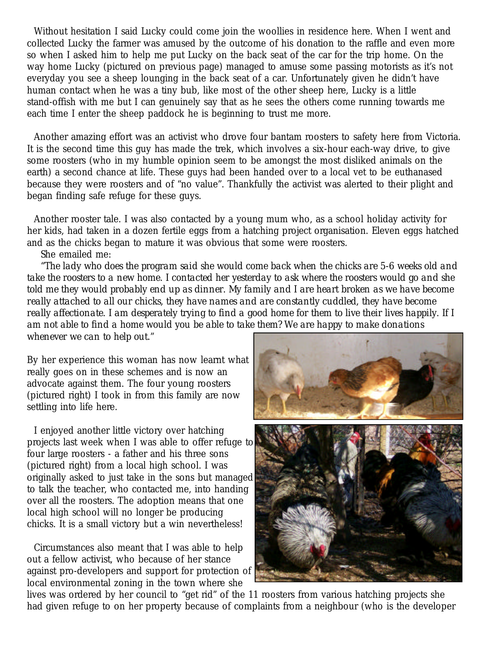Without hesitation I said Lucky could come join the woollies in residence here. When I went and collected Lucky the farmer was amused by the outcome of his donation to the raffle and even more so when I asked him to help me put Lucky on the back seat of the car for the trip home. On the way home Lucky (pictured on previous page) managed to amuse some passing motorists as it's not everyday you see a sheep lounging in the back seat of a car. Unfortunately given he didn't have human contact when he was a tiny bub, like most of the other sheep here, Lucky is a little stand-offish with me but I can genuinely say that as he sees the others come running towards me each time I enter the sheep paddock he is beginning to trust me more.

Another amazing effort was an activist who drove four bantam roosters to safety here from Victoria. It is the second time this guy has made the trek, which involves a six-hour each-way drive, to give some roosters (who in my humble opinion seem to be amongst the most disliked animals on the earth) a second chance at life. These guys had been handed over to a local vet to be euthanased because they were roosters and of "no value". Thankfully the activist was alerted to their plight and began finding safe refuge for these guys.

Another rooster tale. I was also contacted by a young mum who, as a school holiday activity for her kids, had taken in a dozen fertile eggs from a hatching project organisation. Eleven eggs hatched and as the chicks began to mature it was obvious that some were roosters.

She emailed me:

*"The lady who does the program said she would come back when the chicks are 5-6 weeks old and take the roosters to a new home. I contacted her yesterday to ask where the roosters would go and she told me they would probably end up as dinner. My family and I are heart broken as we have become really attached to all our chicks, they have names and are constantly cuddled, they have become really affectionate. I am desperately trying to find a good home for them to live their lives happily. If I am not able to find a home would you be able to take them? We are happy to make donations whenever we can to help out."*

By her experience this woman has now learnt what really goes on in these schemes and is now an advocate against them. The four young roosters (pictured right) I took in from this family are now settling into life here.

I enjoyed another little victory over hatching projects last week when I was able to offer refuge to four large roosters - a father and his three sons (pictured right) from a local high school. I was originally asked to just take in the sons but managed to talk the teacher, who contacted me, into handing over all the roosters. The adoption means that one local high school will no longer be producing chicks. It is a small victory but a win nevertheless!

Circumstances also meant that I was able to help out a fellow activist, who because of her stance against pro-developers and support for protection of local environmental zoning in the town where she



lives was ordered by her council to "get rid" of the 11 roosters from various hatching projects she had given refuge to on her property because of complaints from a neighbour (who is the developer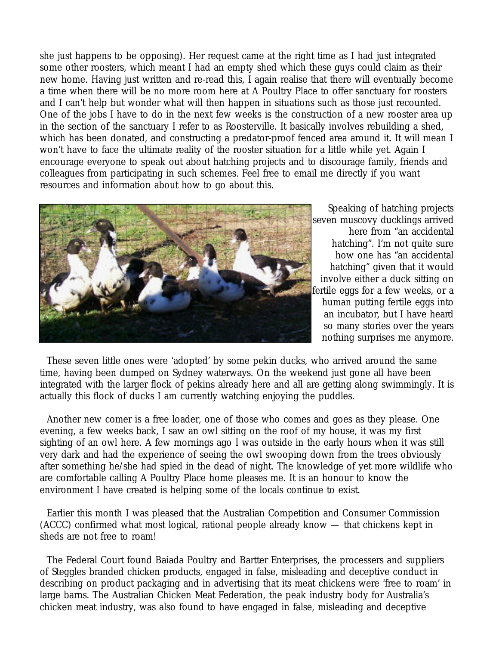she just happens to be opposing). Her request came at the right time as I had just integrated some other roosters, which meant I had an empty shed which these guys could claim as their new home. Having just written and re-read this, I again realise that there will eventually become a time when there will be no more room here at A Poultry Place to offer sanctuary for roosters and I can't help but wonder what will then happen in situations such as those just recounted. One of the jobs I have to do in the next few weeks is the construction of a new rooster area up in the section of the sanctuary I refer to as Roosterville. It basically involves rebuilding a shed, which has been donated, and constructing a predator-proof fenced area around it. It will mean I won't have to face the ultimate reality of the rooster situation for a little while yet. Again I encourage everyone to speak out about hatching projects and to discourage family, friends and colleagues from participating in such schemes. Feel free to email me directly if you want resources and information about how to go about this.



Speaking of hatching projects seven muscovy ducklings arrived here from "an accidental hatching". I'm not quite sure how one has "an accidental hatching" given that it would involve either a duck sitting on fertile eggs for a few weeks, or a human putting fertile eggs into an incubator, but I have heard so many stories over the years nothing surprises me anymore.

These seven little ones were 'adopted' by some pekin ducks, who arrived around the same time, having been dumped on Sydney waterways. On the weekend just gone all have been integrated with the larger flock of pekins already here and all are getting along swimmingly. It is actually this flock of ducks I am currently watching enjoying the puddles.

Another new comer is a free loader, one of those who comes and goes as they please. One evening, a few weeks back, I saw an owl sitting on the roof of my house, it was my first sighting of an owl here. A few mornings ago I was outside in the early hours when it was still very dark and had the experience of seeing the owl swooping down from the trees obviously after something he/she had spied in the dead of night. The knowledge of yet more wildlife who are comfortable calling A Poultry Place home pleases me. It is an honour to know the environment I have created is helping some of the locals continue to exist.

Earlier this month I was pleased that the Australian Competition and Consumer Commission (ACCC) confirmed what most logical, rational people already know — that chickens kept in sheds are not free to roam!

The Federal Court found Baiada Poultry and Bartter Enterprises, the processers and suppliers of Steggles branded chicken products, engaged in false, misleading and deceptive conduct in describing on product packaging and in advertising that its meat chickens were 'free to roam' in large barns. The Australian Chicken Meat Federation, the peak industry body for Australia's chicken meat industry, was also found to have engaged in false, misleading and deceptive